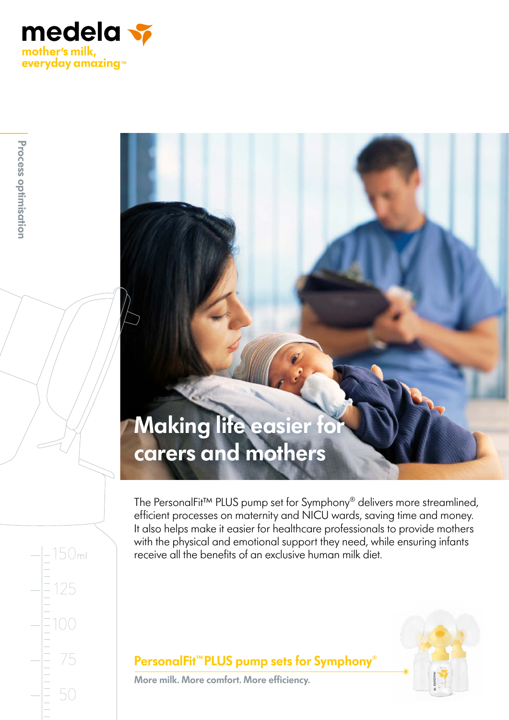

50<sub>ml</sub>

25

 $100$ 

75

50

# **Making life easier for carers and mothers**

The PersonalFit™ PLUS pump set for Symphony® delivers more streamlined, efficient processes on maternity and NICU wards, saving time and money. It also helps make it easier for healthcare professionals to provide mothers with the physical and emotional support they need, while ensuring infants receive all the benefits of an exclusive human milk diet.



### **PersonalFit™PLUS pump sets for Symphony**®

**More milk. More comfort. More efficiency.**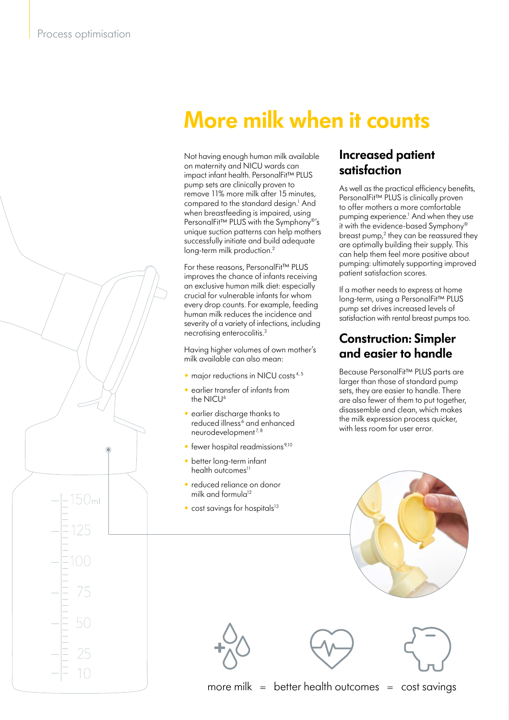50<sub>ml</sub>

## **More milk when it counts**

Not having enough human milk available on maternity and NICU wards can impact infant health. PersonalFit™ PLUS pump sets are clinically proven to remove 11% more milk after 15 minutes, compared to the standard design.<sup>1</sup> And when breastfeeding is impaired, using PersonalFit<sup>™</sup> PLUS with the Symphony<sup>®'</sup>s unique suction patterns can help mothers successfully initiate and build adequate long-term milk production.<sup>2</sup>

For these reasons, PersonalFit™ PLUS improves the chance of infants receiving an exclusive human milk diet: especially crucial for vulnerable infants for whom every drop counts. For example, feeding human milk reduces the incidence and severity of a variety of infections, including necrotising enterocolitis.3

Having higher volumes of own mother's milk available can also mean:

- $\bullet$  major reductions in NICU costs<sup>4,5</sup>
- earlier transfer of infants from the NICU<sup>6</sup>
- earlier discharge thanks to reduced illness<sup>6</sup> and enhanced neurodevelopment<sup>7,8</sup>
- $\bullet$  fewer hospital readmissions<sup>9,10</sup>
- belief long-lerm mani • better long-term infant
	- reduced reliance on donor milk and formula $12$
	- $\bullet$  cost savings for hospitals $^{13}$

#### **Increased patient satisfaction**

As well as the practical efficiency benefits, PersonalFit™ PLUS is clinically proven to offer mothers a more comfortable pumping experience.<sup>1</sup> And when they use it with the evidence-based Symphony<sup>6</sup> breast pump, $2$  they can be reassured they are optimally building their supply. This can help them feel more positive about pumping: ultimately supporting improved patient satisfaction scores.

If a mother needs to express at home long-term, using a PersonalFit™ PLUS pump set drives increased levels of satisfaction with rental breast pumps too.

### **Construction: Simpler and easier to handle**

Because PersonalFit™ PLUS parts are larger than those of standard pump sets, they are easier to handle. There are also fewer of them to put together, disassemble and clean, which makes the milk expression process quicker, with less room for user error.









**IQ+5**

more milk  $=$  better health outcomes  $=$  cost savings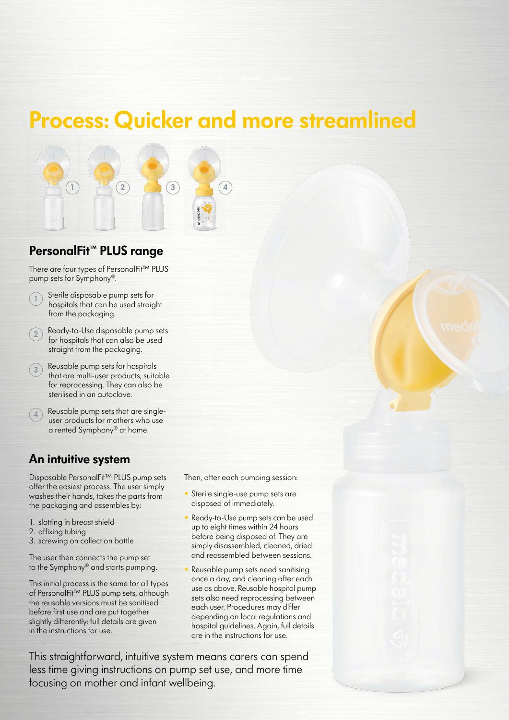### **Process: Quicker and more streamlined**



#### **PersonalFit™ PLUS range**

There are four types of PersonalFit™ PLUS pump sets for Symphony®.

- **<sup>1</sup>** Sterile disposable pump sets for hospitals that can be used straight from the packaging.
- **<sup>2</sup>** Ready-to-Use disposable pump sets for hospitals that can also be used straight from the packaging.
- **<sup>3</sup>** Reusable pump sets for hospitals that are multi-user products, suitable for reprocessing. They can also be sterilised in an autoclave.
- **<sup>4</sup>** Reusable pump sets that are singleuser products for mothers who use a rented Symphony® at home.

#### **An intuitive system**

Disposable PersonalFit™ PLUS pump sets offer the easiest process. The user simply washes their hands, takes the parts from the packaging and assembles by:

- 1. slotting in breast shield
- 2. affixing tubing
- 3. screwing on collection bottle

The user then connects the pump set to the Symphony® and starts pumping.

This initial process is the same for all types of PersonalFit™ PLUS pump sets, although the reusable versions must be sanitised before first use and are put together slightly differently: full details are given in the instructions for use.

Then, after each pumping session:

- Sterile single-use pump sets are disposed of immediately.
- Ready-to-Use pump sets can be used up to eight times within 24 hours before being disposed of. They are simply disassembled, cleaned, dried and reassembled between sessions.
- Reusable pump sets need sanitising once a day, and cleaning after each use as above. Reusable hospital pump sets also need reprocessing between each user. Procedures may differ depending on local regulations and hospital guidelines. Again, full details are in the instructions for use.

This straightforward, intuitive system means carers can spend less time giving instructions on pump set use, and more time focusing on mother and infant wellbeing.